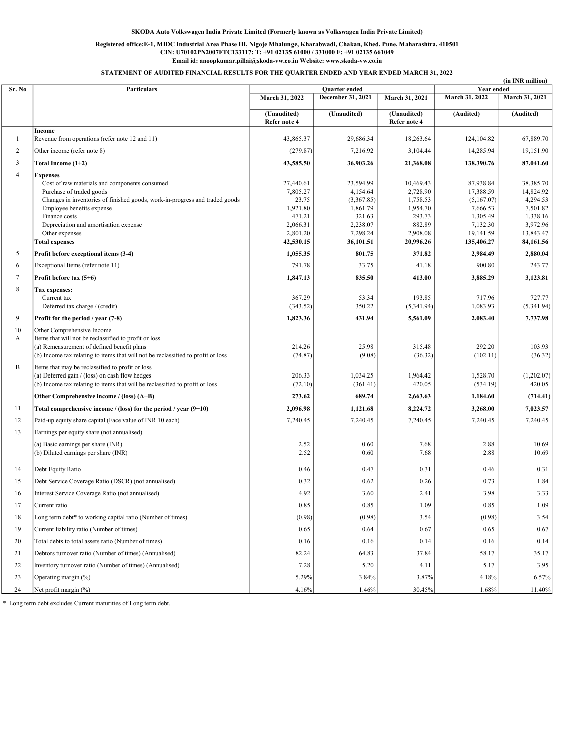### Registered office:E-1, MIDC Industrial Area Phase III, Nigoje Mhalunge, Kharabwadi, Chakan, Khed, Pune, Maharashtra, 410501 CIN: U70102PN2007FTC133117; T: +91 02135 61000 / 331000 F: +91 02135 661049 Email id: anoopkumar.pillai@skoda-vw.co.in Website: www.skoda-vw.co.in

STATEMENT OF AUDITED FINANCIAL RESULTS FOR THE QUARTER ENDED AND YEAR ENDED MARCH 31, 2022

|                |                                                                                  |                             |                   |                             |                | (in INR million) |
|----------------|----------------------------------------------------------------------------------|-----------------------------|-------------------|-----------------------------|----------------|------------------|
| Sr. No         | Particulars                                                                      |                             | Quarter ended     |                             | Year ended     |                  |
|                |                                                                                  | March 31, 2022              | December 31, 2021 | March 31, 2021              | March 31, 2022 | March 31, 2021   |
|                |                                                                                  | (Unaudited)<br>Refer note 4 | (Unaudited)       | (Unaudited)<br>Refer note 4 | (Audited)      | (Audited)        |
| $\mathbf{1}$   | Income<br>Revenue from operations (refer note 12 and 11)                         | 43,865.37                   | 29,686.34         | 18,263.64                   | 124,104.82     | 67,889.70        |
| 2              | Other income (refer note 8)                                                      | (279.87)                    | 7,216.92          | 3,104.44                    | 14,285.94      | 19,151.90        |
| 3              | Total Income (1+2)                                                               | 43,585.50                   | 36,903.26         | 21,368.08                   | 138,390.76     | 87,041.60        |
| $\overline{4}$ | <b>Expenses</b>                                                                  |                             |                   |                             |                |                  |
|                | Cost of raw materials and components consumed                                    | 27,440.61                   | 23,594.99         | 10,469.43                   | 87.938.84      | 38,385.70        |
|                | Purchase of traded goods                                                         | 7,805.27                    | 4,154.64          | 2,728.90                    | 17,388.59      | 14,824.92        |
|                | Changes in inventories of finished goods, work-in-progress and traded goods      | 23.75                       | (3,367.85)        | 1,758.53                    | (5,167.07)     | 4,294.53         |
|                | Employee benefits expense                                                        | 1,921.80                    | 1,861.79          | 1,954.70                    | 7,666.53       | 7,501.82         |
|                | Finance costs                                                                    | 471.21                      | 321.63            | 293.73                      | 1.305.49       | 1,338.16         |
|                | Depreciation and amortisation expense                                            | 2,066.31                    | 2,238.07          | 882.89                      | 7,132.30       | 3,972.96         |
|                | Other expenses                                                                   | 2,801.20                    | 7,298.24          | 2,908.08                    | 19,141.59      | 13,843.47        |
|                | <b>Total expenses</b>                                                            | 42,530.15                   | 36,101.51         | 20,996.26                   | 135,406.27     | 84,161.56        |
| 5              | Profit before exceptional items (3-4)                                            | 1,055.35                    | 801.75            | 371.82                      | 2,984.49       | 2,880.04         |
| 6              | Exceptional Items (refer note 11)                                                | 791.78                      | 33.75             | 41.18                       | 900.80         | 243.77           |
| $\tau$         | Profit before tax (5+6)                                                          | 1,847.13                    | 835.50            | 413.00                      | 3,885.29       | 3,123.81         |
| 8              | Tax expenses:                                                                    |                             |                   |                             |                |                  |
|                | Current tax                                                                      | 367.29                      | 53.34             | 193.85                      | 717.96         | 727.77           |
|                | Deferred tax charge / (credit)                                                   | (343.52)                    | 350.22            | (5,341.94)                  | 1,083.93       | (5,341.94)       |
| 9              | Profit for the period / year (7-8)                                               | 1,823.36                    | 431.94            | 5,561.09                    | 2,083.40       | 7,737.98         |
| 10             | Other Comprehensive Income                                                       |                             |                   |                             |                |                  |
| A              | Items that will not be reclassified to profit or loss                            |                             |                   |                             |                |                  |
|                | (a) Remeasurement of defined benefit plans                                       | 214.26                      | 25.98             | 315.48                      | 292.20         | 103.93           |
|                | (b) Income tax relating to items that will not be reclassified to profit or loss | (74.87)                     | (9.08)            | (36.32)                     | (102.11)       | (36.32)          |
| B              | Items that may be reclassified to profit or loss                                 |                             |                   |                             |                |                  |
|                | (a) Deferred gain / (loss) on cash flow hedges                                   | 206.33                      | 1,034.25          | 1,964.42                    | 1,528.70       | (1,202.07)       |
|                | (b) Income tax relating to items that will be reclassified to profit or loss     | (72.10)                     | (361.41)          | 420.05                      | (534.19)       | 420.05           |
|                | Other Comprehensive income / (loss) (A+B)                                        | 273.62                      | 689.74            | 2,663.63                    | 1,184.60       | (714.41)         |
| 11             | Total comprehensive income / (loss) for the period / year $(9+10)$               | 2,096.98                    | 1,121.68          | 8,224.72                    | 3,268.00       | 7,023.57         |
| 12             | Paid-up equity share capital (Face value of INR 10 each)                         | 7,240.45                    | 7,240.45          | 7,240.45                    | 7,240.45       | 7,240.45         |
| 13             | Earnings per equity share (not annualised)                                       |                             |                   |                             |                |                  |
|                | (a) Basic earnings per share (INR)                                               | 2.52                        | 0.60              | 7.68                        | 2.88           | 10.69            |
|                | (b) Diluted earnings per share (INR)                                             | 2.52                        | 0.60              | 7.68                        | 2.88           | 10.69            |
| 14             | Debt Equity Ratio                                                                | 0.46                        | 0.47              | 0.31                        | 0.46           | 0.31             |
| 15             | Debt Service Coverage Ratio (DSCR) (not annualised)                              | 0.32                        | 0.62              | 0.26                        | 0.73           | 1.84             |
| 16             | Interest Service Coverage Ratio (not annualised)                                 | 4.92                        | 3.60              | 2.41                        | 3.98           | 3.33             |
| 17             | Current ratio                                                                    | 0.85                        | 0.85              | 1.09                        | 0.85           | 1.09             |
| 18             | Long term debt* to working capital ratio (Number of times)                       | (0.98)                      | (0.98)            | 3.54                        | (0.98)         | 3.54             |
| 19             | Current liability ratio (Number of times)                                        | 0.65                        | 0.64              | 0.67                        | 0.65           | 0.67             |
| 20             | Total debts to total assets ratio (Number of times)                              | 0.16                        | 0.16              | 0.14                        | 0.16           | 0.14             |
| 21             | Debtors turnover ratio (Number of times) (Annualised)                            | 82.24                       | 64.83             | 37.84                       | 58.17          | 35.17            |
| 22             | Inventory turnover ratio (Number of times) (Annualised)                          | 7.28                        | 5.20              | 4.11                        | 5.17           | 3.95             |
| 23             | Operating margin (%)                                                             | 5.29%                       | 3.84%             | 3.87%                       | 4.18%          | 6.57%            |
| 24             | Net profit margin (%)                                                            | 4.16%                       | 1.46%             | 30.45%                      | 1.68%          | 11.40%           |

\* Long term debt excludes Current maturities of Long term debt.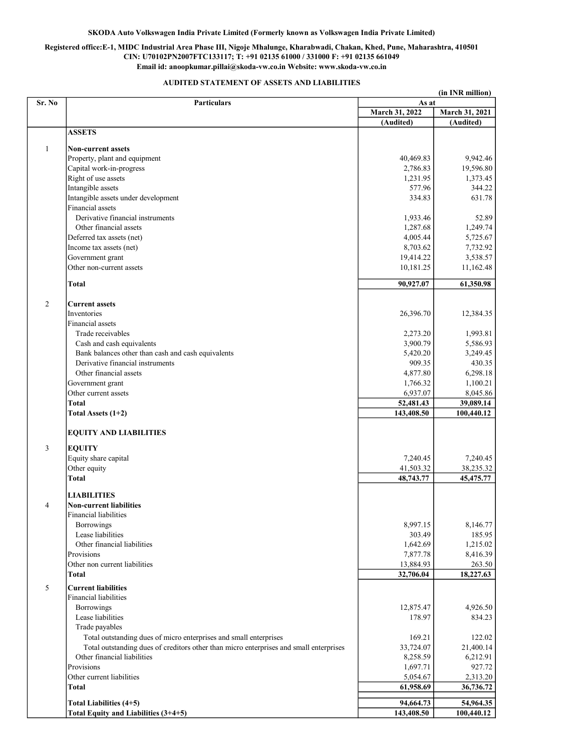# Registered office:E-1, MIDC Industrial Area Phase III, Nigoje Mhalunge, Kharabwadi, Chakan, Khed, Pune, Maharashtra, 410501 CIN: U70102PN2007FTC133117; T: +91 02135 61000 / 331000 F: +91 02135 661049 Email id: anoopkumar.pillai@skoda-vw.co.in Website: www.skoda-vw.co.in

## AUDITED STATEMENT OF ASSETS AND LIABILITIES

|                | (in INR million)                                                                       |                         |                         |  |
|----------------|----------------------------------------------------------------------------------------|-------------------------|-------------------------|--|
| Sr. No         | <b>Particulars</b>                                                                     | As at                   |                         |  |
|                |                                                                                        | March 31, 2022          | March 31, 2021          |  |
|                |                                                                                        | (Audited)               | (Audited)               |  |
|                | <b>ASSETS</b>                                                                          |                         |                         |  |
| $\mathbf{1}$   | <b>Non-current assets</b>                                                              |                         |                         |  |
|                | Property, plant and equipment                                                          | 40,469.83               | 9,942.46                |  |
|                | Capital work-in-progress                                                               | 2,786.83                | 19,596.80               |  |
|                | Right of use assets                                                                    | 1,231.95                | 1,373.45                |  |
|                | Intangible assets                                                                      | 577.96                  | 344.22                  |  |
|                | Intangible assets under development                                                    | 334.83                  | 631.78                  |  |
|                | Financial assets                                                                       |                         |                         |  |
|                | Derivative financial instruments                                                       | 1,933.46                | 52.89                   |  |
|                | Other financial assets                                                                 | 1,287.68                | 1,249.74                |  |
|                | Deferred tax assets (net)                                                              | 4,005.44                | 5,725.67                |  |
|                | Income tax assets (net)                                                                | 8,703.62                | 7,732.92                |  |
|                | Government grant                                                                       | 19,414.22               | 3,538.57                |  |
|                | Other non-current assets                                                               | 10,181.25               | 11,162.48               |  |
|                |                                                                                        |                         |                         |  |
|                | <b>Total</b>                                                                           | 90,927.07               | 61,350.98               |  |
|                |                                                                                        |                         |                         |  |
| $\overline{2}$ | <b>Current assets</b>                                                                  |                         |                         |  |
|                | <b>Inventories</b>                                                                     | 26,396.70               | 12,384.35               |  |
|                | Financial assets                                                                       |                         |                         |  |
|                | Trade receivables                                                                      | 2,273.20                | 1,993.81                |  |
|                | Cash and cash equivalents                                                              | 3,900.79                | 5,586.93                |  |
|                | Bank balances other than cash and cash equivalents                                     | 5,420.20                | 3,249.45                |  |
|                | Derivative financial instruments                                                       | 909.35                  | 430.35                  |  |
|                | Other financial assets                                                                 | 4,877.80                | 6,298.18                |  |
|                | Government grant                                                                       | 1,766.32                | 1,100.21                |  |
|                | Other current assets                                                                   | 6,937.07                | 8,045.86                |  |
|                | <b>Total</b>                                                                           | 52,481.43               | 39,089.14               |  |
|                | Total Assets (1+2)                                                                     | 143,408.50              | 100,440.12              |  |
|                | <b>EQUITY AND LIABILITIES</b>                                                          |                         |                         |  |
| 3              | <b>EQUITY</b>                                                                          |                         |                         |  |
|                | Equity share capital                                                                   | 7,240.45                | 7,240.45                |  |
|                | Other equity                                                                           | 41,503.32               | 38,235.32               |  |
|                | <b>Total</b>                                                                           | 48,743.77               | 45,475.77               |  |
|                |                                                                                        |                         |                         |  |
|                | <b>LIABILITIES</b>                                                                     |                         |                         |  |
| 4              | <b>Non-current liabilities</b>                                                         |                         |                         |  |
|                | Financial liabilities                                                                  |                         |                         |  |
|                | Borrowings                                                                             | 8,997.15                | 8,146.77                |  |
|                | Lease liabilities                                                                      | 303.49                  | 185.95                  |  |
|                | Other financial liabilities                                                            | 1,642.69                | 1,215.02                |  |
|                | Provisions                                                                             | 7,877.78                | 8,416.39                |  |
|                | Other non current liabilities                                                          | 13,884.93               | 263.50                  |  |
|                | Total                                                                                  | 32,706.04               | 18,227.63               |  |
| 5              | <b>Current liabilities</b>                                                             |                         |                         |  |
|                | <b>Financial liabilities</b>                                                           |                         |                         |  |
|                | Borrowings                                                                             | 12,875.47               | 4,926.50                |  |
|                | Lease liabilities                                                                      | 178.97                  | 834.23                  |  |
|                | Trade payables                                                                         |                         |                         |  |
|                | Total outstanding dues of micro enterprises and small enterprises                      | 169.21                  | 122.02                  |  |
|                | Total outstanding dues of creditors other than micro enterprises and small enterprises | 33,724.07               | 21,400.14               |  |
|                | Other financial liabilities                                                            | 8,258.59                | 6,212.91                |  |
|                | Provisions                                                                             | 1,697.71                | 927.72                  |  |
|                | Other current liabilities                                                              | 5,054.67                | 2,313.20                |  |
|                | Total                                                                                  | 61,958.69               | 36,736.72               |  |
|                |                                                                                        |                         |                         |  |
|                | Total Liabilities (4+5)<br>Total Equity and Liabilities (3+4+5)                        | 94,664.73<br>143,408.50 | 54,964.35<br>100,440.12 |  |
|                |                                                                                        |                         |                         |  |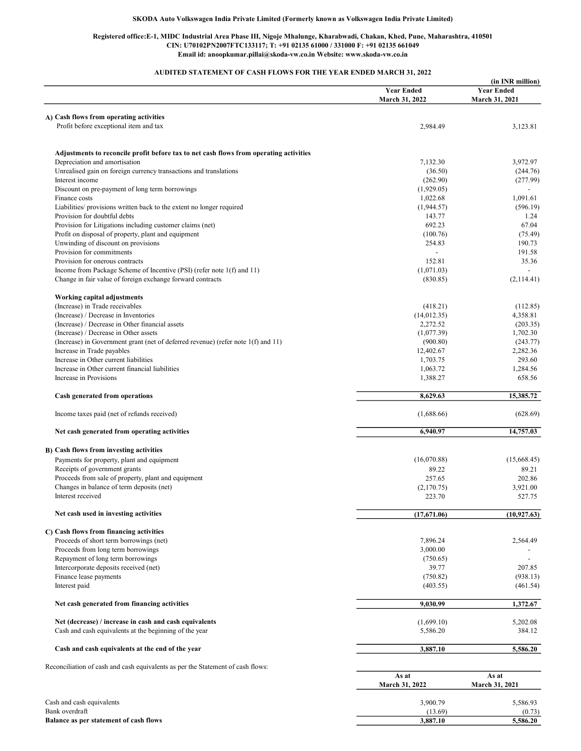### Registered office:E-1, MIDC Industrial Area Phase III, Nigoje Mhalunge, Kharabwadi, Chakan, Khed, Pune, Maharashtra, 410501 CIN: U70102PN2007FTC133117; T: +91 02135 61000 / 331000 F: +91 02135 661049 Email id: anoopkumar.pillai@skoda-vw.co.in Website: www.skoda-vw.co.in

## AUDITED STATEMENT OF CASH FLOWS FOR THE YEAR ENDED MARCH 31, 2022

|                                                                                        |                                     | (in INR million)                    |
|----------------------------------------------------------------------------------------|-------------------------------------|-------------------------------------|
|                                                                                        | <b>Year Ended</b><br>March 31, 2022 | <b>Year Ended</b><br>March 31, 2021 |
|                                                                                        |                                     |                                     |
| A) Cash flows from operating activities<br>Profit before exceptional item and tax      |                                     |                                     |
|                                                                                        | 2,984.49                            | 3,123.81                            |
| Adjustments to reconcile profit before tax to net cash flows from operating activities |                                     |                                     |
| Depreciation and amortisation                                                          | 7,132.30                            | 3,972.97                            |
| Unrealised gain on foreign currency transactions and translations                      | (36.50)                             | (244.76)                            |
| Interest income                                                                        | (262.90)                            | (277.99)                            |
| Discount on pre-payment of long term borrowings                                        | (1,929.05)                          |                                     |
| Finance costs                                                                          | 1,022.68                            | 1,091.61                            |
| Liabilities/ provisions written back to the extent no longer required                  | (1,944.57)                          | (596.19)                            |
| Provision for doubtful debts                                                           | 143.77                              | 1.24                                |
| Provision for Litigations including customer claims (net)                              | 692.23                              | 67.04                               |
| Profit on disposal of property, plant and equipment                                    | (100.76)                            | (75.49)                             |
| Unwinding of discount on provisions                                                    | 254.83                              | 190.73                              |
| Provision for commitments                                                              | $\overline{\phantom{a}}$            | 191.58                              |
| Provision for onerous contracts                                                        | 152.81                              | 35.36                               |
| Income from Package Scheme of Incentive (PSI) (refer note 1(f) and 11)                 | (1,071.03)                          |                                     |
| Change in fair value of foreign exchange forward contracts                             | (830.85)                            | (2,114.41)                          |
| Working capital adjustments                                                            |                                     |                                     |
| (Increase) in Trade receivables                                                        | (418.21)                            | (112.85)                            |
| (Increase) / Decrease in Inventories                                                   | (14,012.35)                         | 4.358.81                            |
| (Increase) / Decrease in Other financial assets                                        | 2,272.52                            | (203.35)                            |
| (Increase) / Decrease in Other assets                                                  | (1,077.39)                          | 1,702.30                            |
| (Increase) in Government grant (net of deferred revenue) (refer note 1(f) and 11)      | (900.80)                            | (243.77)                            |
| Increase in Trade payables                                                             | 12,402.67                           | 2,282.36                            |
| Increase in Other current liabilities                                                  | 1,703.75                            | 293.60                              |
| Increase in Other current financial liabilities                                        | 1,063.72                            | 1,284.56                            |
| Increase in Provisions                                                                 | 1,388.27                            | 658.56                              |
| Cash generated from operations                                                         | 8,629.63                            | 15,385.72                           |
| Income taxes paid (net of refunds received)                                            | (1,688.66)                          | (628.69)                            |
| Net cash generated from operating activities                                           | 6,940.97                            | 14,757.03                           |
|                                                                                        |                                     |                                     |
| B) Cash flows from investing activities                                                |                                     |                                     |
| Payments for property, plant and equipment                                             | (16,070.88)                         | (15,668.45)                         |
| Receipts of government grants                                                          | 89.22                               | 89.21                               |
| Proceeds from sale of property, plant and equipment                                    | 257.65                              | 202.86                              |
| Changes in balance of term deposits (net)                                              | (2,170.75)                          | 3,921.00                            |
| Interest received                                                                      | 223.70                              | 527.75                              |
| Net cash used in investing activities                                                  | (17,671.06)                         | (10, 927.63)                        |
| C) Cash flows from financing activities                                                |                                     |                                     |
| Proceeds of short term borrowings (net)                                                | 7,896.24                            | 2,564.49                            |
| Proceeds from long term borrowings                                                     | 3,000.00                            |                                     |
| Repayment of long term borrowings                                                      | (750.65)                            |                                     |
| Intercorporate deposits received (net)                                                 | 39.77                               | 207.85                              |
| Finance lease payments                                                                 | (750.82)                            | (938.13)                            |
| Interest paid                                                                          | (403.55)                            | (461.54)                            |
|                                                                                        |                                     |                                     |
| Net cash generated from financing activities                                           | 9,030.99                            | 1,372.67                            |
| Net (decrease) / increase in cash and cash equivalents                                 | (1,699.10)                          | 5,202.08                            |
| Cash and cash equivalents at the beginning of the year                                 | 5,586.20                            | 384.12                              |
| Cash and cash equivalents at the end of the year                                       | 3,887.10                            | 5,586.20                            |
| Reconciliation of cash and cash equivalents as per the Statement of cash flows:        |                                     |                                     |
|                                                                                        | As at<br>March 31, 2022             | As at<br>March 31, 2021             |
|                                                                                        |                                     |                                     |
| Cash and cash equivalents                                                              | 3,900.79                            | 5,586.93                            |
| Bank overdraft                                                                         | (13.69)                             | (0.73)                              |

Bank overdraft (13.69) (0.73) Balance as per statement of cash flows 5,586.20 5,586.20 5,586.20 5,586.20 5,586.20 5,586.20 5,588.20 5,588.20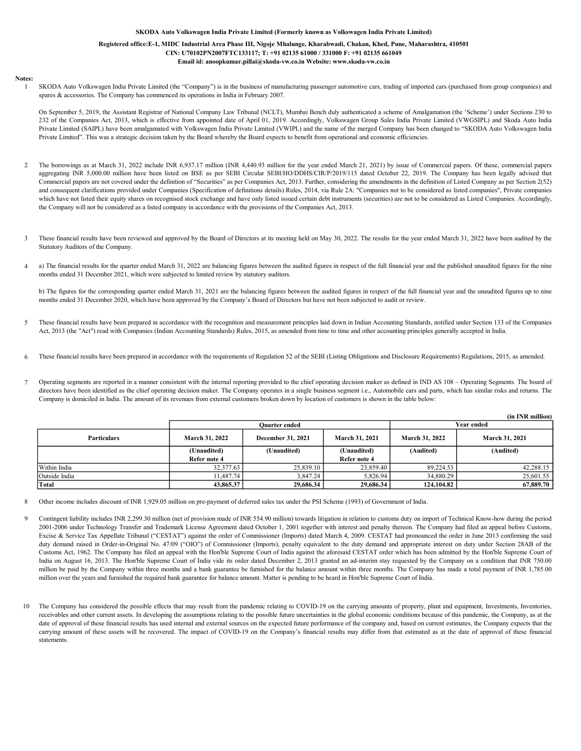### Registered office:E-1, MIDC Industrial Area Phase III, Nigoje Mhalunge, Kharabwadi, Chakan, Khed, Pune, Maharashtra, 410501 CIN: U70102PN2007FTC133117; T: +91 02135 61000 / 331000 F: +91 02135 661049 Email id: anoopkumar.pillai@skoda-vw.co.in Website: www.skoda-vw.co.in

#### Notes: 1

SKODA Auto Volkswagen India Private Limited (the "Company") is in the business of manufacturing passenger automotive cars, trading of imported cars (purchased from group companies) and spares & accessories. The Company has commenced its operations in India in February 2007.

On September 5, 2019, the Assistant Registrar of National Company Law Tribunal (NCLT), Mumbai Bench duly authenticated a scheme of Amalgamation (the 'Scheme') under Sections 230 to 232 of the Companies Act, 2013, which is effective from appointed date of April 01, 2019. Accordingly, Volkswagen Group Sales India Private Limited (VWGSIPL) and Skoda Auto India Private Limited (SAIPL) have been amalgamated with Volkswagen India Private Limited (VWIPL) and the name of the merged Company has been changed to "SKODA Auto Volkswagen India Private Limited". This was a strategic decision taken by the Board whereby the Board expects to benefit from operational and economic efficiencies.

- 2 The borrowings as at March 31, 2022 include INR 6,937.17 million (INR 4,440.93 million for the year ended March 21, 2021) by issue of Commercial papers. Of these, commercial papers aggregating INR 5,000.00 million have been listed on BSE as per SEBI Circular SEBI/HO/DDHS/CIR/P/2019/115 dated October 22, 2019. The Company has been legally advised that Commercial papers are not covered under the definition of "Securities" as per Companies Act, 2013. Further, considering the amendments in the definition of Listed Company as per Section 2(52) and consequent clarifications provided under Companies (Specification of definitions details) Rules, 2014, via Rule 2A: "Companies not to be considered as listed companies", Private companies which have not listed their equity shares on recognised stock exchange and have only listed issued certain debt instruments (securities) are not to be considered as Listed Companies. Accordingly, the Company will not be considered as a listed company in accordance with the provisions of the Companies Act, 2013.
- 3 These financial results have been reviewed and approved by the Board of Directors at its meeting held on May 30, 2022. The results for the year ended March 31, 2022 have been audited by the Statutory Auditors of the Company.
- 4 a) The financial results for the quarter ended March 31, 2022 are balancing figures between the audited figures in respect of the full financial year and the published unaudited figures for the nine months ended 31 December 2021, which were subjected to limited review by statutory auditors.

b) The figures for the corresponding quarter ended March 31, 2021 are the balancing figures between the audited figures in respect of the full financial year and the unaudited figures up to nine months ended 31 December 2020, which have been approved by the Company's Board of Directors but have not been subjected to audit or review.

- 5 These financial results have been prepared in accordance with the recognition and measurement principles laid down in Indian Accounting Standards, notified under Section 133 of the Companies Act, 2013 (the "Act") read with Companies (Indian Accounting Standards) Rules, 2015, as amended from time to time and other accounting principles generally accepted in India.
- 6 These financial results have been prepared in accordance with the requirements of Regulation 52 of the SEBI (Listing Obligations and Disclosure Requirements) Regulations, 2015, as amended.
- 7 Operating segments are reported in a manner consistent with the internal reporting provided to the chief operating decision maker as defined in IND AS 108 – Operating Segments. The board of directors have been identified as the chief operating decision maker. The Company operates in a single business segment i.e., Automobile cars and parts, which has similar risks and returns. The Company is domiciled in India. The amount of its revenues from external customers broken down by location of customers is shown in the table below:

|                    |                |                      |                |                | (in INR million) |
|--------------------|----------------|----------------------|----------------|----------------|------------------|
|                    |                | <b>Ouarter ended</b> |                | Year ended     |                  |
| <b>Particulars</b> | March 31, 2022 | December 31, 2021    | March 31, 2021 | March 31, 2022 | March 31, 2021   |
|                    | (Unaudited)    | (Unaudited)          | (Unaudited)    | (Audited)      | (Audited)        |
|                    | Refer note 4   |                      | Refer note 4   |                |                  |
| Within India       | 32, 377.63     | 25,839.10            | 23,859.40      | 89.224.53      | 42,288.15        |
| Outside India      | 11.487.74      | 3,847.24             | 5.826.94       | 34,880.29      | 25,601.55        |
| Total              | 43,865.37      | 29,686.34            | 29,686.34      | 124,104.82     | 67,889.70        |

8 Other income includes discount of INR 1,929.05 million on pre-payment of deferred sales tax under the PSI Scheme (1993) of Government of India.

- 9 Contingent liability includes INR 2,299.30 million (net of provision made of INR 554.90 million) towards litigation in relation to customs duty on import of Technical Know-how during the period 2001-2006 under Technology Transfer and Trademark License Agreement dated October 1, 2001 together with interest and penalty thereon. The Company had filed an appeal before Customs, Excise & Service Tax Appellate Tribunal ("CESTAT") against the order of Commissioner (Imports) dated March 4, 2009. CESTAT had pronounced the order in June 2013 confirming the said duty demand raised in Order-in-Original No. 47/09 ("OIO") of Commissioner (Imports), penalty equivalent to the duty demand and appropriate interest on duty under Section 28AB of the Customs Act, 1962. The Company has filed an appeal with the Hon'ble Supreme Court of India against the aforesaid CESTAT order which has been admitted by the Hon'ble Supreme Court of India on August 16, 2013. The Hon'ble Supreme Court of India vide its order dated December 2, 2013 granted an ad-interim stay requested by the Company on a condition that INR 750.00 million be paid by the Company within three months and a bank guarantee be furnished for the balance amount within three months. The Company has made a total payment of INR 1,785.00 million over the years and furnished the required bank guarantee for balance amount. Matter is pending to be heard in Hon'ble Supreme Court of India.
- 10 The Company has considered the possible effects that may result from the pandemic relating to COVID-19 on the carrying amounts of property, plant and equipment, Investments, Inventories, receivables and other current assets. In developing the assumptions relating to the possible future uncertainties in the global economic conditions because of this pandemic, the Company, as at the date of approval of these financial results has used internal and external sources on the expected future performance of the company and, based on current estimates, the Company expects that the carrying amount of these assets will be recovered. The impact of COVID-19 on the Company's financial results may differ from that estimated as at the date of approval of these financial statements.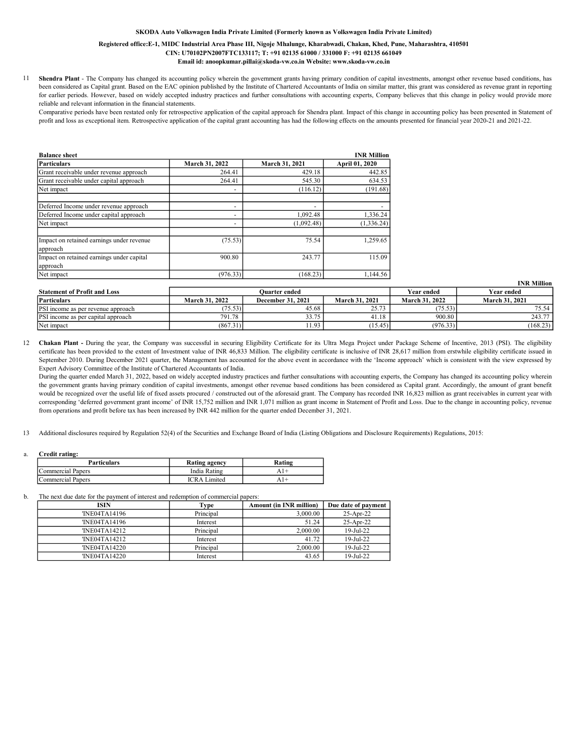### Registered office:E-1, MIDC Industrial Area Phase III, Nigoje Mhalunge, Kharabwadi, Chakan, Khed, Pune, Maharashtra, 410501 CIN: U70102PN2007FTC133117; T: +91 02135 61000 / 331000 F: +91 02135 661049 Email id: anoopkumar.pillai@skoda-vw.co.in Website: www.skoda-vw.co.in

11 Shendra Plant - The Company has changed its accounting policy wherein the government grants having primary condition of capital investments, amongst other revenue based conditions, has been considered as Capital grant. Based on the EAC opinion published by the Institute of Chartered Accountants of India on similar matter, this grant was considered as revenue grant in reporting for earlier periods. However, based on widely accepted industry practices and further consultations with accounting experts, Company believes that this change in policy would provide more reliable and relevant information in the financial statements.

Comparative periods have been restated only for retrospective application of the capital approach for Shendra plant. Impact of this change in accounting policy has been presented in Statement of profit and loss as exceptional item. Retrospective application of the capital grant accounting has had the following effects on the amounts presented for financial year 2020-21 and 2021-22.

| <b>Balance sheet</b>                                  |                |                | <b>INR Million</b> |
|-------------------------------------------------------|----------------|----------------|--------------------|
| Particulars                                           | March 31, 2022 | March 31, 2021 | April 01, 2020     |
| Grant receivable under revenue approach               | 264.41         | 429.18         | 442.85             |
| Grant receivable under capital approach               | 264.41         | 545.30         | 634.53             |
| Net impact                                            |                | (116.12)       | (191.68)           |
| Deferred Income under revenue approach                |                | -              |                    |
| Deferred Income under capital approach                |                | 1,092.48       | 1,336.24           |
| Net impact                                            |                | (1.092.48)     | (1, 336.24)        |
| Impact on retained earnings under revenue<br>approach | (75.53)        | 75.54          | 1.259.65           |
| Impact on retained earnings under capital<br>approach | 900.80         | 243.77         | 115.09             |
| Net impact                                            | (976.33)       | (168.23)       | 1,144.56           |

|                                           |                |                          |                       |                       | тик минон      |
|-------------------------------------------|----------------|--------------------------|-----------------------|-----------------------|----------------|
| <b>Statement of Profit and Loss</b>       | Ouarter ended  |                          |                       | Year ended            | Year ended     |
| Particulars                               | March 31, 2022 | <b>December 31, 2021</b> | <b>March 31, 2021</b> | <b>March 31, 2022</b> | March 31, 2021 |
| <b>PSI</b> income as per revenue approach | (75.53)        | 45.68                    | 25.73                 | (75.53)               | 75.54          |
| <b>PSI</b> income as per capital approach | 791.78         | 33.75                    | 41.18                 | 900.80                | 243.77         |
| Net impact                                | (867.31)       | 11.93                    | (15.45)               | (976.33)              | (168.23)       |

INR Million

12 Chakan Plant - During the year, the Company was successful in securing Eligibility Certificate for its Ultra Mega Project under Package Scheme of Incentive, 2013 (PSI). The eligibility certificate has been provided to the extent of Investment value of INR 46,833 Million. The eligibility certificate is inclusive of INR 28,617 million from erstwhile eligibility certificate issued in September 2010. During December 2021 quarter, the Management has accounted for the above event in accordance with the 'Income approach' which is consistent with the view expressed by Expert Advisory Committee of the Institute of Chartered Accountants of India.

During the quarter ended March 31, 2022, based on widely accepted industry practices and further consultations with accounting experts, the Company has changed its accounting policy wherein the government grants having primary condition of capital investments, amongst other revenue based conditions has been considered as Capital grant. Accordingly, the amount of grant benefit would be recognized over the useful life of fixed assets procured / constructed out of the aforesaid grant. The Company has recorded INR 16,823 million as grant receivables in current year with corresponding 'deferred government grant income' of INR 15,752 million and INR 1,071 million as grant income in Statement of Profit and Loss. Due to the change in accounting policy, revenue from operations and profit before tax has been increased by INR 442 million for the quarter ended December 31, 2021.

13 Additional disclosures required by Regulation 52(4) of the Securities and Exchange Board of India (Listing Obligations and Disclosure Requirements) Regulations, 2015:

#### a. Credit rating:

| <b>Particulars</b> | Rating agency       | Ratins    |
|--------------------|---------------------|-----------|
| Commercial Paners  | India Rating        | $A$   $+$ |
| Commercial Paners  | <b>ICRA</b> Limited | A I +     |

b. The next due date for the payment of interest and redemption of commercial papers:

| <b>ISIN</b>   | Fvpe      | <b>Amount (in INR million)</b> | Due date of payment    |
|---------------|-----------|--------------------------------|------------------------|
| 'INE04TA14196 | Principal | 3,000.00                       | $25$ -Apr-22           |
| 'INE04TA14196 | Interest  | 51.24                          | $25$ -Apr-22           |
| 'INE04TA14212 | Principal | 2,000.00                       | 19-Jul-22              |
| 'INE04TA14212 | Interest  | 41.72                          | $19 - \text{Jul} - 22$ |
| 'INE04TA14220 | Principal | 2,000.00                       | $19 - \text{Jul} - 22$ |
| 'INE04TA14220 | Interest  | 43.65                          | $19$ -Jul-22           |